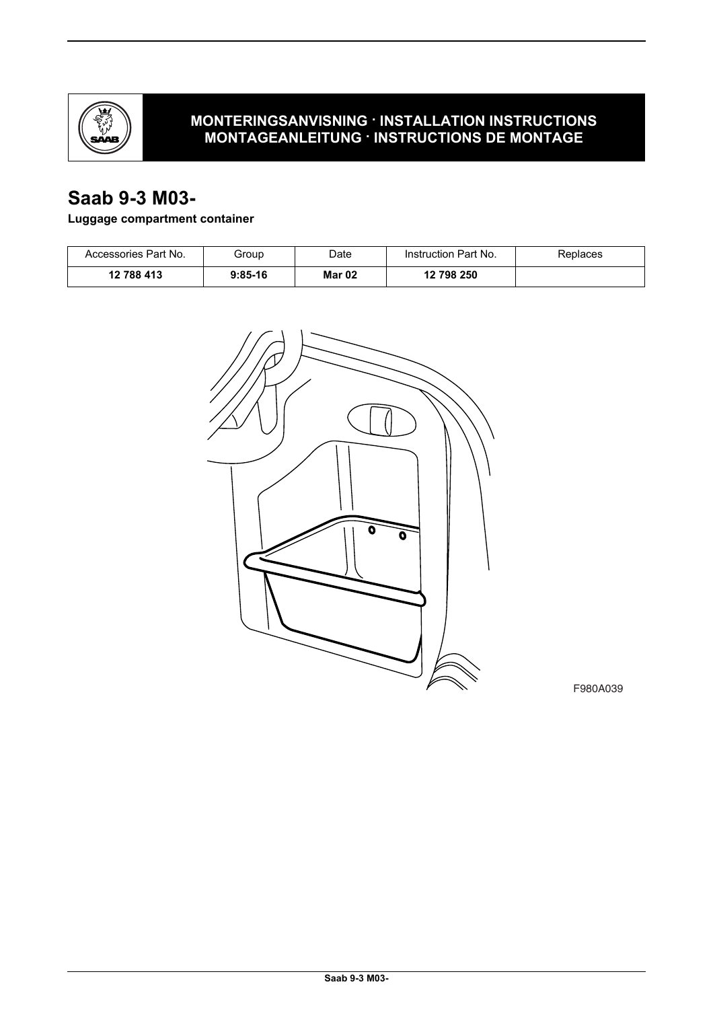

## **MONTERINGSANVISNING · INSTALLATION INSTRUCTIONS MONTAGEANLEITUNG · INSTRUCTIONS DE MONTAGE**

## **Saab 9-3 M03-**

## **Luggage compartment container**

| Accessories Part No. | Group     | Date   | Instruction Part No. | Replaces |
|----------------------|-----------|--------|----------------------|----------|
| 12 788 413           | $9:85-16$ | Mar 02 | 12 798 250           |          |



F980A039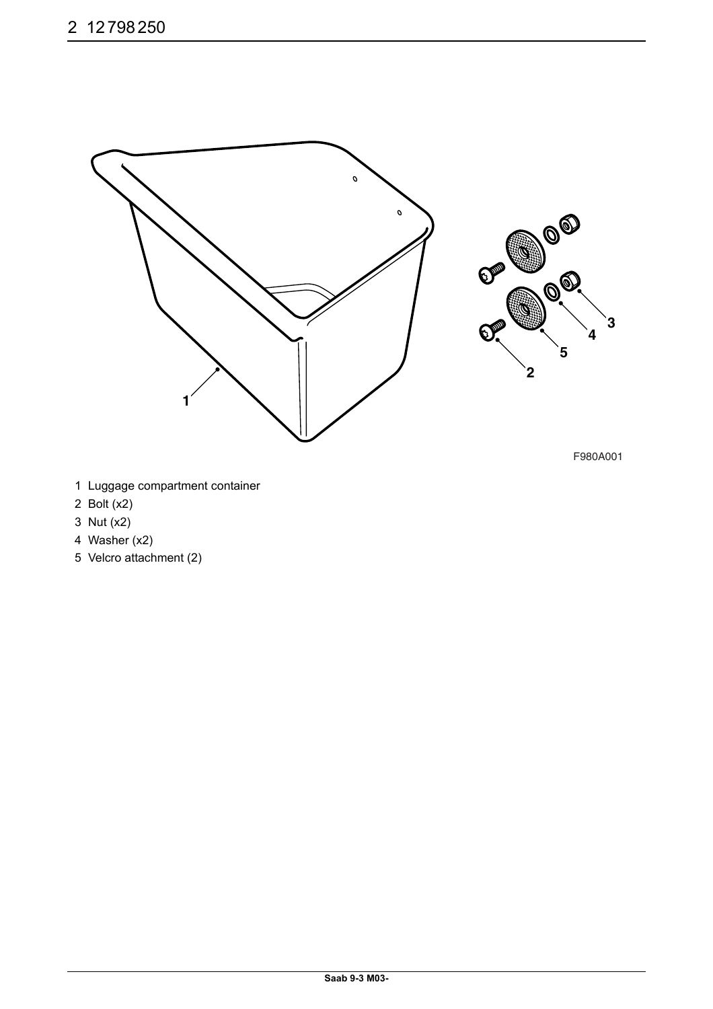

- 1 Luggage compartment container
- 2 Bolt (x2)
- 3 Nut (x2)
- 4 Washer (x2)
- 5 Velcro attachment (2)